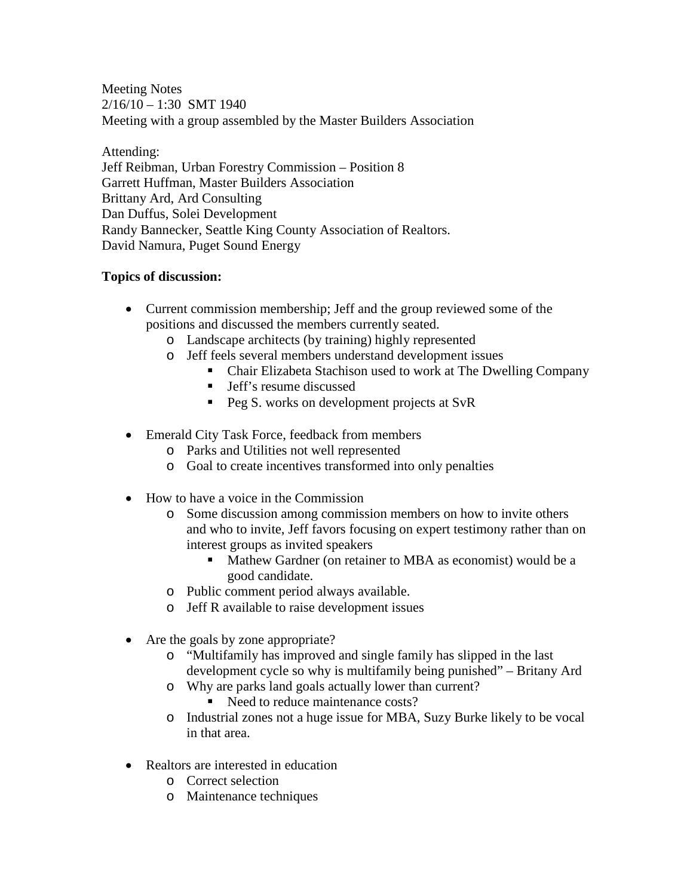Meeting Notes  $2/16/10 - 1:30$  SMT 1940 Meeting with a group assembled by the Master Builders Association

Attending: Jeff Reibman, Urban Forestry Commission – Position 8 Garrett Huffman, Master Builders Association Brittany Ard, Ard Consulting Dan Duffus, Solei Development Randy Bannecker, Seattle King County Association of Realtors. David Namura, Puget Sound Energy

## **Topics of discussion:**

- Current commission membership; Jeff and the group reviewed some of the positions and discussed the members currently seated.
	- o Landscape architects (by training) highly represented
	- o Jeff feels several members understand development issues
		- Chair Elizabeta Stachison used to work at The Dwelling Company
		- **If** Jeff's resume discussed
		- **Peg S.** works on development projects at SvR
- Emerald City Task Force, feedback from members
	- o Parks and Utilities not well represented
	- o Goal to create incentives transformed into only penalties
- How to have a voice in the Commission
	- o Some discussion among commission members on how to invite others and who to invite, Jeff favors focusing on expert testimony rather than on interest groups as invited speakers
		- Mathew Gardner (on retainer to MBA as economist) would be a good candidate.
	- o Public comment period always available.
	- o Jeff R available to raise development issues
- Are the goals by zone appropriate?
	- o "Multifamily has improved and single family has slipped in the last development cycle so why is multifamily being punished" – Britany Ard
	- o Why are parks land goals actually lower than current?
		- Need to reduce maintenance costs?
	- o Industrial zones not a huge issue for MBA, Suzy Burke likely to be vocal in that area.
- Realtors are interested in education
	- o Correct selection
	- o Maintenance techniques